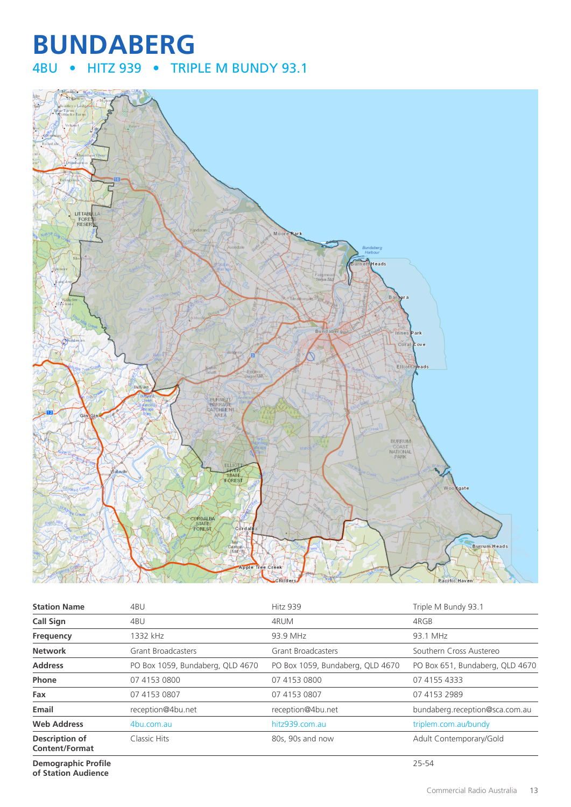# **BUNDABERG** 4BU • HITZ 939 • TRIPLE M BUNDY 93.1



| <b>Station Name</b>                            | 4BU                              | Hitz 939                         | Triple M Bundy 93.1             |
|------------------------------------------------|----------------------------------|----------------------------------|---------------------------------|
| <b>Call Sign</b>                               | 4BU                              | 4RUM                             | 4RGB                            |
| Frequency                                      | 1332 kHz                         | 93.9 MHz                         | 93.1 MHz                        |
| <b>Network</b>                                 | <b>Grant Broadcasters</b>        | <b>Grant Broadcasters</b>        | Southern Cross Austereo         |
| <b>Address</b>                                 | PO Box 1059, Bundaberg, QLD 4670 | PO Box 1059, Bundaberg, QLD 4670 | PO Box 651, Bundaberg, QLD 4670 |
| Phone                                          | 07 4153 0800                     | 07 4153 0800                     | 07 4155 4333                    |
| Fax                                            | 07 4153 0807                     | 07 4153 0807                     | 07 4153 2989                    |
| Email                                          | reception@4bu.net                | reception@4bu.net                | bundaberg.reception@sca.com.au  |
| <b>Web Address</b>                             | 4bu.com.au                       | hitz939.com.au                   | triplem.com.au/bundy            |
| <b>Description of</b><br><b>Content/Format</b> | Classic Hits                     | 80s, 90s and now                 | Adult Contemporary/Gold         |

**Demographic Profile of Station Audience**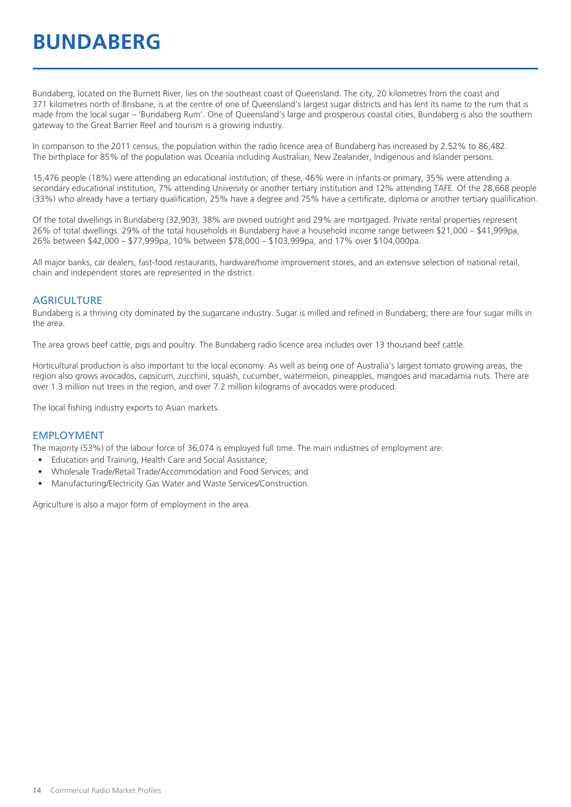# **BUNDABERG**

Bundaberg, located on the Burnett River, lies on the southeast coast of Queensland. The city, 20 kilometres from the coast and 371 kilometres north of Brisbane, is at the centre of one of Queensland's largest sugar districts and has lent its name to the rum that is made from the local sugar – 'Bundaberg Rum'. One of Queensland's large and prosperous coastal cities, Bundaberg is also the southern gateway to the Great Barrier Reef and tourism is a growing industry.

In comparison to the 2011 census, the population within the radio licence area of Bundaberg has increased by 2.52% to 86,482. The birthplace for 85% of the population was Oceania including Australian, New Zealander, Indigenous and Islander persons.

15,476 people (18%) were attending an educational institution; of these, 46% were in infants or primary, 35% were attending a secondary educational institution, 7% attending University or another tertiary institution and 12% attending TAFE. Of the 28,668 people (33%) who already have a tertiary qualification, 25% have a degree and 75% have a certificate, diploma or another tertiary qualification.

Of the total dwellings in Bundaberg (32,903), 38% are owned outright and 29% are mortgaged. Private rental properties represent 26% of total dwellings. 29% of the total households in Bundaberg have a household income range between \$21,000 – \$41,999pa, 26% between \$42,000 – \$77,999pa, 10% between \$78,000 – \$103,999pa, and 17% over \$104,000pa.

All major banks, car dealers, fast-food restaurants, hardware/home improvement stores, and an extensive selection of national retail, chain and independent stores are represented in the district.

#### **AGRICULTURE**

Bundaberg is a thriving city dominated by the sugarcane industry. Sugar is milled and refined in Bundaberg; there are four sugar mills in the area.

The area grows beef cattle, pigs and poultry. The Bundaberg radio licence area includes over 13 thousand beef cattle.

Horticultural production is also important to the local economy. As well as being one of Australia's largest tomato growing areas, the region also grows avocados, capsicum, zucchini, squash, cucumber, watermelon, pineapples, mangoes and macadamia nuts. There are over 1.3 million nut trees in the region, and over 7.2 million kilograms of avocados were produced.

The local fishing industry exports to Asian markets.

#### EMPLOYMENT

The majority (53%) of the labour force of 36,074 is employed full time. The main industries of employment are:

- Education and Training, Health Care and Social Assistance;
- Wholesale Trade/Retail Trade/Accommodation and Food Services; and
- Manufacturing/Electricity Gas Water and Waste Services/Construction.

Agriculture is also a major form of employment in the area.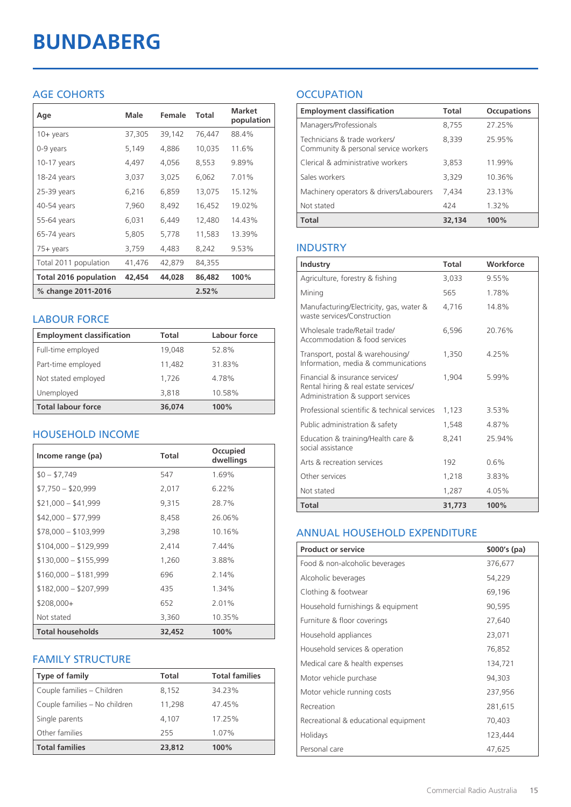# **BUNDABERG**

## AGE COHORTS

| Age                   | Male   | Female | Total  | <b>Market</b><br>population |
|-----------------------|--------|--------|--------|-----------------------------|
| $10 + \gamma$ ears    | 37,305 | 39,142 | 76,447 | 88.4%                       |
| 0-9 years             | 5,149  | 4,886  | 10,035 | 11.6%                       |
| $10-17$ years         | 4,497  | 4,056  | 8,553  | 9.89%                       |
| 18-24 years           | 3,037  | 3,025  | 6,062  | 7.01%                       |
| $25-39$ years         | 6,216  | 6,859  | 13,075 | 15.12%                      |
| 40-54 years           | 7,960  | 8,492  | 16,452 | 19.02%                      |
| 55-64 years           | 6,031  | 6,449  | 12,480 | 14.43%                      |
| 65-74 years           | 5,805  | 5,778  | 11,583 | 13.39%                      |
| 75+ years             | 3,759  | 4,483  | 8,242  | 9.53%                       |
| Total 2011 population | 41,476 | 42,879 | 84,355 |                             |
| Total 2016 population | 42,454 | 44,028 | 86,482 | 100%                        |
| % change 2011-2016    |        |        | 2.52%  |                             |

## LABOUR FORCE

| <b>Employment classification</b> | Total  | Labour force |
|----------------------------------|--------|--------------|
| Full-time employed               | 19.048 | 52.8%        |
| Part-time employed               | 11,482 | 31.83%       |
| Not stated employed              | 1.726  | 4.78%        |
| Unemployed                       | 3,818  | 10.58%       |
| <b>Total labour force</b>        | 36,074 | 100%         |

## HOUSEHOLD INCOME

| Income range (pa)       | <b>Total</b> | Occupied<br>dwellings |
|-------------------------|--------------|-----------------------|
| $$0 - $7,749$           | 547          | 1.69%                 |
| $$7,750 - $20,999$      | 2,017        | $6.22\%$              |
| $$21,000 - $41,999$     | 9,315        | 28.7%                 |
| $$42,000 - $77,999$     | 8,458        | 26.06%                |
| $$78,000 - $103,999$    | 3,298        | 10.16%                |
| $$104,000 - $129,999$   | 2,414        | 7.44%                 |
| $$130,000 - $155,999$   | 1,260        | 3.88%                 |
| $$160,000 - $181,999$   | 696          | 2.14%                 |
| $$182,000 - $207,999$   | 435          | 1.34%                 |
| $$208,000+$             | 652          | 2.01%                 |
| Not stated              | 3,360        | 10.35%                |
| <b>Total households</b> | 32,452       | 100%                  |

## FAMILY STRUCTURE

| <b>Type of family</b>         | <b>Total</b> | <b>Total families</b> |
|-------------------------------|--------------|-----------------------|
| Couple families - Children    | 8,152        | 34.23%                |
| Couple families - No children | 11,298       | 47.45%                |
| Single parents                | 4.107        | 17.25%                |
| Other families                | 255          | 1.07%                 |
| <b>Total families</b>         | 23,812       | 100%                  |

## **OCCUPATION**

| <b>Employment classification</b>                                     | Total  | <b>Occupations</b> |
|----------------------------------------------------------------------|--------|--------------------|
| Managers/Professionals                                               | 8,755  | 27.25%             |
| Technicians & trade workers/<br>Community & personal service workers | 8,339  | 25.95%             |
| Clerical & administrative workers                                    | 3,853  | 11.99%             |
| Sales workers                                                        | 3,329  | 10.36%             |
| Machinery operators & drivers/Labourers                              | 7.434  | 23.13%             |
| Not stated                                                           | 424    | 1.32%              |
| Total                                                                | 32,134 | 100%               |

## INDUSTRY

| Industry                                                                                                      | Total  | Workforce |
|---------------------------------------------------------------------------------------------------------------|--------|-----------|
| Agriculture, forestry & fishing                                                                               | 3,033  | 9.55%     |
| Mining                                                                                                        | 565    | 1.78%     |
| Manufacturing/Electricity, gas, water &<br>waste services/Construction                                        | 4,716  | 14.8%     |
| Wholesale trade/Retail trade/<br>Accommodation & food services                                                | 6.596  | 20.76%    |
| Transport, postal & warehousing/<br>Information, media & communications                                       | 1,350  | 4.25%     |
| Financial & insurance services/<br>Rental hiring & real estate services/<br>Administration & support services | 1.904  | 5.99%     |
| Professional scientific & technical services                                                                  | 1,123  | 3.53%     |
| Public administration & safety                                                                                | 1,548  | 487%      |
| Education & training/Health care &<br>social assistance                                                       | 8,241  | 25.94%    |
| Arts & recreation services                                                                                    | 192    | 0.6%      |
| Other services                                                                                                | 1,218  | 3.83%     |
| Not stated                                                                                                    | 1,287  | 4.05%     |
| Total                                                                                                         | 31,773 | 100%      |

#### ANNUAL HOUSEHOLD EXPENDITURE

| <b>Product or service</b>            | $$000's$ (pa) |
|--------------------------------------|---------------|
| Food & non-alcoholic beverages       | 376,677       |
| Alcoholic beverages                  | 54,229        |
| Clothing & footwear                  | 69,196        |
| Household furnishings & equipment    | 90,595        |
| Furniture & floor coverings          | 27,640        |
| Household appliances                 | 23,071        |
| Household services & operation       | 76,852        |
| Medical care & health expenses       | 134,721       |
| Motor vehicle purchase               | 94,303        |
| Motor vehicle running costs          | 237,956       |
| Recreation                           | 281,615       |
| Recreational & educational equipment | 70,403        |
| Holidays                             | 123,444       |
| Personal care                        | 47,625        |